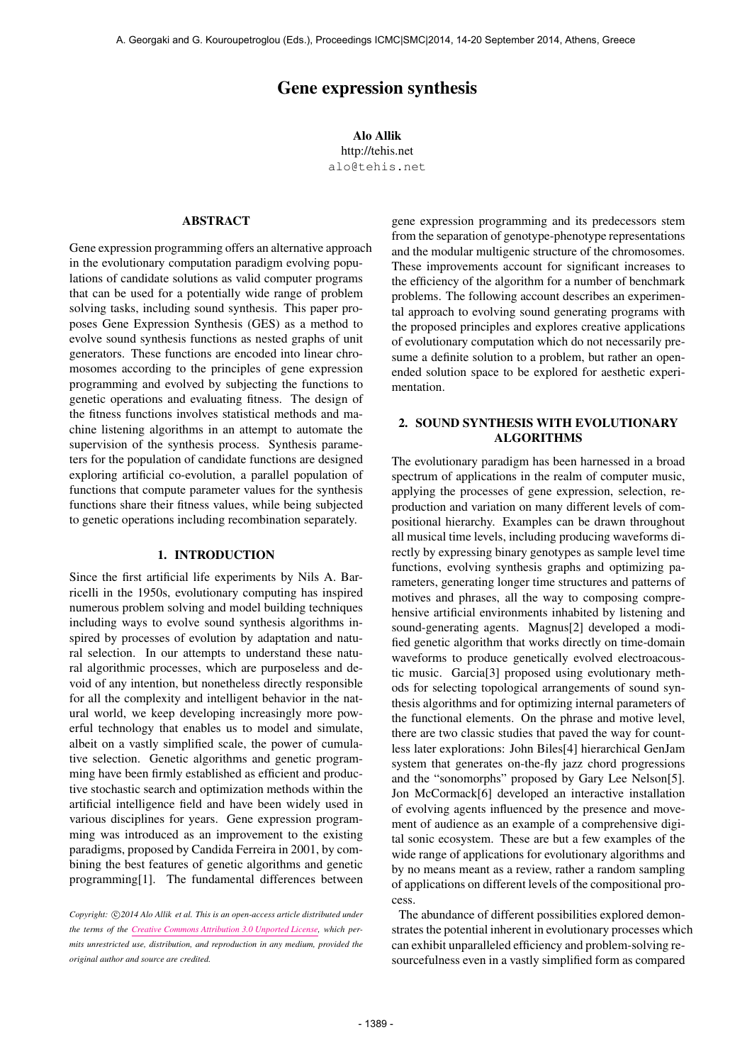# Gene expression synthesis

Alo Allik http://tehis.net [alo@tehis.net](mailto:alo@tehis.net)

## ABSTRACT

Gene expression programming offers an alternative approach in the evolutionary computation paradigm evolving populations of candidate solutions as valid computer programs that can be used for a potentially wide range of problem solving tasks, including sound synthesis. This paper proposes Gene Expression Synthesis (GES) as a method to evolve sound synthesis functions as nested graphs of unit generators. These functions are encoded into linear chromosomes according to the principles of gene expression programming and evolved by subjecting the functions to genetic operations and evaluating fitness. The design of the fitness functions involves statistical methods and machine listening algorithms in an attempt to automate the supervision of the synthesis process. Synthesis parameters for the population of candidate functions are designed exploring artificial co-evolution, a parallel population of functions that compute parameter values for the synthesis functions share their fitness values, while being subjected to genetic operations including recombination separately.

#### 1. INTRODUCTION

Since the first artificial life experiments by Nils A. Barricelli in the 1950s, evolutionary computing has inspired numerous problem solving and model building techniques including ways to evolve sound synthesis algorithms inspired by processes of evolution by adaptation and natural selection. In our attempts to understand these natural algorithmic processes, which are purposeless and devoid of any intention, but nonetheless directly responsible for all the complexity and intelligent behavior in the natural world, we keep developing increasingly more powerful technology that enables us to model and simulate, albeit on a vastly simplified scale, the power of cumulative selection. Genetic algorithms and genetic programming have been firmly established as efficient and productive stochastic search and optimization methods within the artificial intelligence field and have been widely used in various disciplines for years. Gene expression programming was introduced as an improvement to the existing paradigms, proposed by Candida Ferreira in 2001, by combining the best features of genetic algorithms and genetic programming[1]. The fundamental differences between gene expression programming and its predecessors stem from the separation of genotype-phenotype representations and the modular multigenic structure of the chromosomes. These improvements account for significant increases to the efficiency of the algorithm for a number of benchmark problems. The following account describes an experimental approach to evolving sound generating programs with the proposed principles and explores creative applications of evolutionary computation which do not necessarily presume a definite solution to a problem, but rather an openended solution space to be explored for aesthetic experimentation.

## 2. SOUND SYNTHESIS WITH EVOLUTIONARY ALGORITHMS

The evolutionary paradigm has been harnessed in a broad spectrum of applications in the realm of computer music, applying the processes of gene expression, selection, reproduction and variation on many different levels of compositional hierarchy. Examples can be drawn throughout all musical time levels, including producing waveforms directly by expressing binary genotypes as sample level time functions, evolving synthesis graphs and optimizing parameters, generating longer time structures and patterns of motives and phrases, all the way to composing comprehensive artificial environments inhabited by listening and sound-generating agents. Magnus[2] developed a modified genetic algorithm that works directly on time-domain waveforms to produce genetically evolved electroacoustic music. Garcia[3] proposed using evolutionary methods for selecting topological arrangements of sound synthesis algorithms and for optimizing internal parameters of the functional elements. On the phrase and motive level, there are two classic studies that paved the way for countless later explorations: John Biles[4] hierarchical GenJam system that generates on-the-fly jazz chord progressions and the "sonomorphs" proposed by Gary Lee Nelson[5]. Jon McCormack[6] developed an interactive installation of evolving agents influenced by the presence and movement of audience as an example of a comprehensive digital sonic ecosystem. These are but a few examples of the wide range of applications for evolutionary algorithms and by no means meant as a review, rather a random sampling of applications on different levels of the compositional process.

The abundance of different possibilities explored demonstrates the potential inherent in evolutionary processes which can exhibit unparalleled efficiency and problem-solving resourcefulness even in a vastly simplified form as compared

Copyright:  $\bigcirc$ 2014 Alo Allik et al. This is an open-access article distributed under *the terms of the [Creative Commons Attribution 3.0 Unported License,](http://creativecommons.org/licenses/by/3.0/) which permits unrestricted use, distribution, and reproduction in any medium, provided the original author and source are credited.*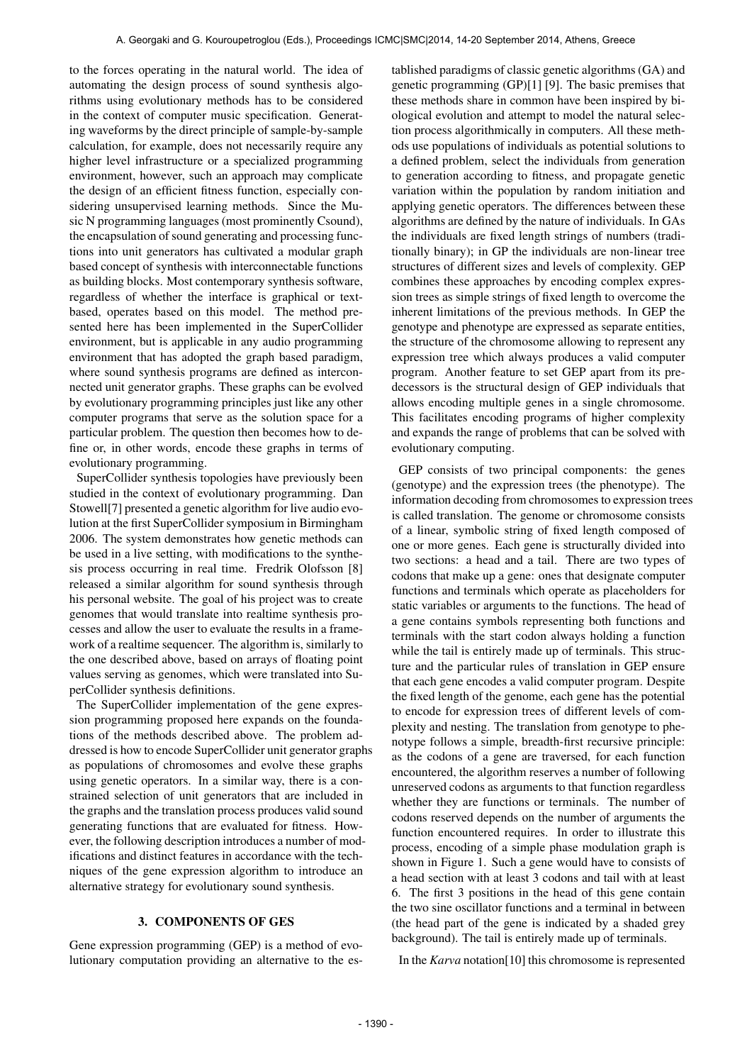to the forces operating in the natural world. The idea of automating the design process of sound synthesis algorithms using evolutionary methods has to be considered in the context of computer music specification. Generating waveforms by the direct principle of sample-by-sample calculation, for example, does not necessarily require any higher level infrastructure or a specialized programming environment, however, such an approach may complicate the design of an efficient fitness function, especially considering unsupervised learning methods. Since the Music N programming languages (most prominently Csound), the encapsulation of sound generating and processing functions into unit generators has cultivated a modular graph based concept of synthesis with interconnectable functions as building blocks. Most contemporary synthesis software, regardless of whether the interface is graphical or textbased, operates based on this model. The method presented here has been implemented in the SuperCollider environment, but is applicable in any audio programming environment that has adopted the graph based paradigm, where sound synthesis programs are defined as interconnected unit generator graphs. These graphs can be evolved by evolutionary programming principles just like any other computer programs that serve as the solution space for a particular problem. The question then becomes how to define or, in other words, encode these graphs in terms of evolutionary programming.

SuperCollider synthesis topologies have previously been studied in the context of evolutionary programming. Dan Stowell[7] presented a genetic algorithm for live audio evolution at the first SuperCollider symposium in Birmingham 2006. The system demonstrates how genetic methods can be used in a live setting, with modifications to the synthesis process occurring in real time. Fredrik Olofsson [8] released a similar algorithm for sound synthesis through his personal website. The goal of his project was to create genomes that would translate into realtime synthesis processes and allow the user to evaluate the results in a framework of a realtime sequencer. The algorithm is, similarly to the one described above, based on arrays of floating point values serving as genomes, which were translated into SuperCollider synthesis definitions.

The SuperCollider implementation of the gene expression programming proposed here expands on the foundations of the methods described above. The problem addressed is how to encode SuperCollider unit generator graphs as populations of chromosomes and evolve these graphs using genetic operators. In a similar way, there is a constrained selection of unit generators that are included in the graphs and the translation process produces valid sound generating functions that are evaluated for fitness. However, the following description introduces a number of modifications and distinct features in accordance with the techniques of the gene expression algorithm to introduce an alternative strategy for evolutionary sound synthesis.

### 3. COMPONENTS OF GES

Gene expression programming (GEP) is a method of evolutionary computation providing an alternative to the established paradigms of classic genetic algorithms (GA) and genetic programming (GP)[1] [9]. The basic premises that these methods share in common have been inspired by biological evolution and attempt to model the natural selection process algorithmically in computers. All these methods use populations of individuals as potential solutions to a defined problem, select the individuals from generation to generation according to fitness, and propagate genetic variation within the population by random initiation and applying genetic operators. The differences between these algorithms are defined by the nature of individuals. In GAs the individuals are fixed length strings of numbers (traditionally binary); in GP the individuals are non-linear tree structures of different sizes and levels of complexity. GEP combines these approaches by encoding complex expression trees as simple strings of fixed length to overcome the inherent limitations of the previous methods. In GEP the genotype and phenotype are expressed as separate entities, the structure of the chromosome allowing to represent any expression tree which always produces a valid computer program. Another feature to set GEP apart from its predecessors is the structural design of GEP individuals that allows encoding multiple genes in a single chromosome. This facilitates encoding programs of higher complexity and expands the range of problems that can be solved with evolutionary computing.

GEP consists of two principal components: the genes (genotype) and the expression trees (the phenotype). The information decoding from chromosomes to expression trees is called translation. The genome or chromosome consists of a linear, symbolic string of fixed length composed of one or more genes. Each gene is structurally divided into two sections: a head and a tail. There are two types of codons that make up a gene: ones that designate computer functions and terminals which operate as placeholders for static variables or arguments to the functions. The head of a gene contains symbols representing both functions and terminals with the start codon always holding a function while the tail is entirely made up of terminals. This structure and the particular rules of translation in GEP ensure that each gene encodes a valid computer program. Despite the fixed length of the genome, each gene has the potential to encode for expression trees of different levels of complexity and nesting. The translation from genotype to phenotype follows a simple, breadth-first recursive principle: as the codons of a gene are traversed, for each function encountered, the algorithm reserves a number of following unreserved codons as arguments to that function regardless whether they are functions or terminals. The number of codons reserved depends on the number of arguments the function encountered requires. In order to illustrate this process, encoding of a simple phase modulation graph is shown in Figure 1. Such a gene would have to consists of a head section with at least 3 codons and tail with at least 6. The first 3 positions in the head of this gene contain the two sine oscillator functions and a terminal in between (the head part of the gene is indicated by a shaded grey background). The tail is entirely made up of terminals.

In the *Karva* notation[10] this chromosome is represented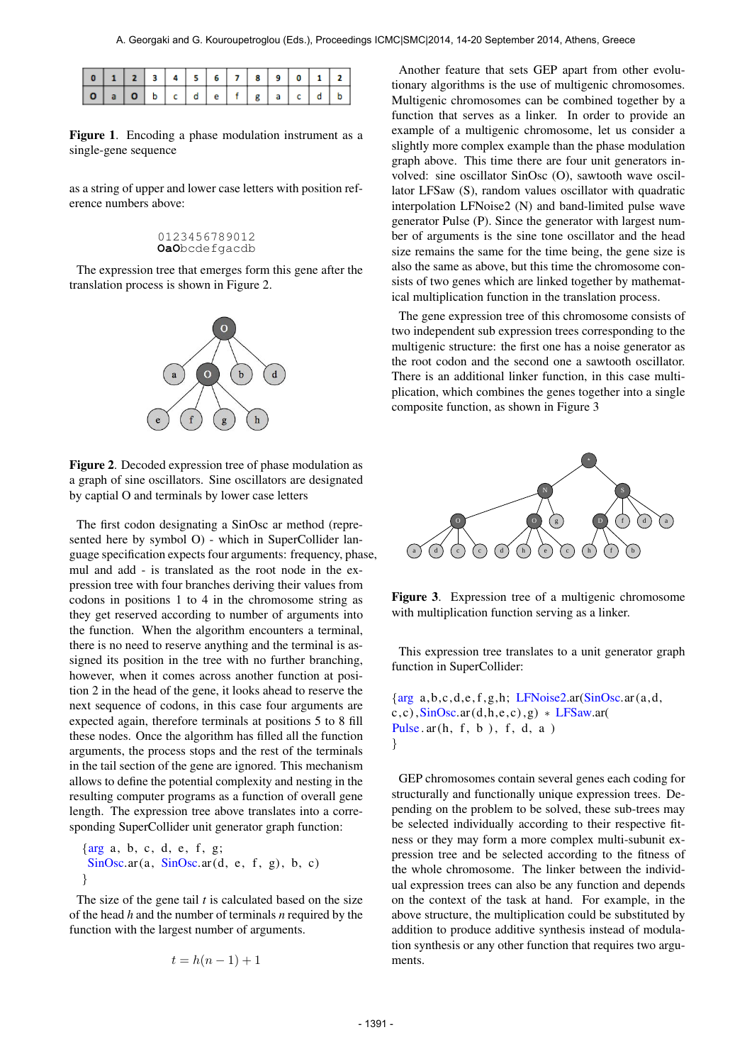| 0 1 2 3 4 5 6 7 8 9 0 1 2 |  |  |  |  |  |  |
|---------------------------|--|--|--|--|--|--|
|                           |  |  |  |  |  |  |

Figure 1. Encoding a phase modulation instrument as a single-gene sequence

as a string of upper and lower case letters with position reference numbers above:

#### 0123456789012 **OaO**bcdefgacdb

The expression tree that emerges form this gene after the translation process is shown in Figure 2.



Figure 2. Decoded expression tree of phase modulation as a graph of sine oscillators. Sine oscillators are designated by captial O and terminals by lower case letters

The first codon designating a SinOsc ar method (represented here by symbol O) - which in SuperCollider language specification expects four arguments: frequency, phase, mul and add - is translated as the root node in the expression tree with four branches deriving their values from codons in positions 1 to 4 in the chromosome string as they get reserved according to number of arguments into the function. When the algorithm encounters a terminal, there is no need to reserve anything and the terminal is assigned its position in the tree with no further branching, however, when it comes across another function at position 2 in the head of the gene, it looks ahead to reserve the next sequence of codons, in this case four arguments are expected again, therefore terminals at positions 5 to 8 fill these nodes. Once the algorithm has filled all the function arguments, the process stops and the rest of the terminals in the tail section of the gene are ignored. This mechanism allows to define the potential complexity and nesting in the resulting computer programs as a function of overall gene length. The expression tree above translates into a corresponding SuperCollider unit generator graph function:

 $\{arg a, b, c, d, e, f, g;$  $SinOsc.ar(a, SinOsc.ar(d, e, f, g), b, c)$ }

The size of the gene tail *t* is calculated based on the size of the head *h* and the number of terminals *n* required by the function with the largest number of arguments.

$$
t = h(n-1) + 1
$$

Another feature that sets GEP apart from other evolutionary algorithms is the use of multigenic chromosomes. Multigenic chromosomes can be combined together by a function that serves as a linker. In order to provide an example of a multigenic chromosome, let us consider a slightly more complex example than the phase modulation graph above. This time there are four unit generators involved: sine oscillator SinOsc (O), sawtooth wave oscillator LFSaw (S), random values oscillator with quadratic interpolation LFNoise2 (N) and band-limited pulse wave generator Pulse (P). Since the generator with largest number of arguments is the sine tone oscillator and the head size remains the same for the time being, the gene size is also the same as above, but this time the chromosome consists of two genes which are linked together by mathematical multiplication function in the translation process.

The gene expression tree of this chromosome consists of two independent sub expression trees corresponding to the multigenic structure: the first one has a noise generator as the root codon and the second one a sawtooth oscillator. There is an additional linker function, in this case multiplication, which combines the genes together into a single composite function, as shown in Figure 3



Figure 3. Expression tree of a multigenic chromosome with multiplication function serving as a linker.

This expression tree translates to a unit generator graph function in SuperCollider:

 $\{arg\ a, b, c, d, e, f, g, h;\ LFNoise2a$ r(SinOsc</u>.ar(a,d,  $c, c$ ),  $SinOsc.ar(d, h, e, c)$ ,  $g$ ) \* LFSaw.ar( Pulse  $ar(h, f, b)$ , f, d, a) }

GEP chromosomes contain several genes each coding for structurally and functionally unique expression trees. Depending on the problem to be solved, these sub-trees may be selected individually according to their respective fitness or they may form a more complex multi-subunit expression tree and be selected according to the fitness of the whole chromosome. The linker between the individual expression trees can also be any function and depends on the context of the task at hand. For example, in the above structure, the multiplication could be substituted by addition to produce additive synthesis instead of modulation synthesis or any other function that requires two arguments.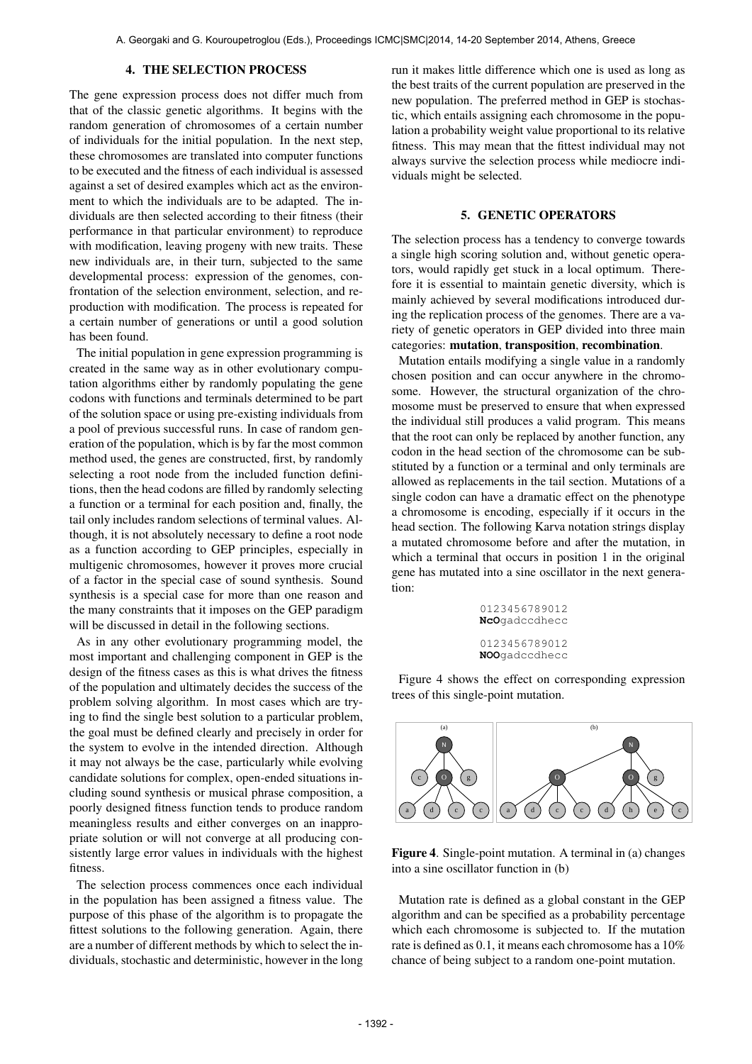## 4. THE SELECTION PROCESS

The gene expression process does not differ much from that of the classic genetic algorithms. It begins with the random generation of chromosomes of a certain number of individuals for the initial population. In the next step, these chromosomes are translated into computer functions to be executed and the fitness of each individual is assessed against a set of desired examples which act as the environment to which the individuals are to be adapted. The individuals are then selected according to their fitness (their performance in that particular environment) to reproduce with modification, leaving progeny with new traits. These new individuals are, in their turn, subjected to the same developmental process: expression of the genomes, confrontation of the selection environment, selection, and reproduction with modification. The process is repeated for a certain number of generations or until a good solution has been found.

The initial population in gene expression programming is created in the same way as in other evolutionary computation algorithms either by randomly populating the gene codons with functions and terminals determined to be part of the solution space or using pre-existing individuals from a pool of previous successful runs. In case of random generation of the population, which is by far the most common method used, the genes are constructed, first, by randomly selecting a root node from the included function definitions, then the head codons are filled by randomly selecting a function or a terminal for each position and, finally, the tail only includes random selections of terminal values. Although, it is not absolutely necessary to define a root node as a function according to GEP principles, especially in multigenic chromosomes, however it proves more crucial of a factor in the special case of sound synthesis. Sound synthesis is a special case for more than one reason and the many constraints that it imposes on the GEP paradigm will be discussed in detail in the following sections.

As in any other evolutionary programming model, the most important and challenging component in GEP is the design of the fitness cases as this is what drives the fitness of the population and ultimately decides the success of the problem solving algorithm. In most cases which are trying to find the single best solution to a particular problem, the goal must be defined clearly and precisely in order for the system to evolve in the intended direction. Although it may not always be the case, particularly while evolving candidate solutions for complex, open-ended situations including sound synthesis or musical phrase composition, a poorly designed fitness function tends to produce random meaningless results and either converges on an inappropriate solution or will not converge at all producing consistently large error values in individuals with the highest fitness.

The selection process commences once each individual in the population has been assigned a fitness value. The purpose of this phase of the algorithm is to propagate the fittest solutions to the following generation. Again, there are a number of different methods by which to select the individuals, stochastic and deterministic, however in the long run it makes little difference which one is used as long as the best traits of the current population are preserved in the new population. The preferred method in GEP is stochastic, which entails assigning each chromosome in the population a probability weight value proportional to its relative fitness. This may mean that the fittest individual may not always survive the selection process while mediocre individuals might be selected.

## 5. GENETIC OPERATORS

The selection process has a tendency to converge towards a single high scoring solution and, without genetic operators, would rapidly get stuck in a local optimum. Therefore it is essential to maintain genetic diversity, which is mainly achieved by several modifications introduced during the replication process of the genomes. There are a variety of genetic operators in GEP divided into three main categories: mutation, transposition, recombination.

Mutation entails modifying a single value in a randomly chosen position and can occur anywhere in the chromosome. However, the structural organization of the chromosome must be preserved to ensure that when expressed the individual still produces a valid program. This means that the root can only be replaced by another function, any codon in the head section of the chromosome can be substituted by a function or a terminal and only terminals are allowed as replacements in the tail section. Mutations of a single codon can have a dramatic effect on the phenotype a chromosome is encoding, especially if it occurs in the head section. The following Karva notation strings display a mutated chromosome before and after the mutation, in which a terminal that occurs in position 1 in the original gene has mutated into a sine oscillator in the next generation:

> 0123456789012 **NcO**gadccdhecc 0123456789012 **NOO**gadccdhecc

Figure 4 shows the effect on corresponding expression trees of this single-point mutation.



Figure 4. Single-point mutation. A terminal in (a) changes into a sine oscillator function in (b)

Mutation rate is defined as a global constant in the GEP algorithm and can be specified as a probability percentage which each chromosome is subjected to. If the mutation rate is defined as 0.1, it means each chromosome has a 10% chance of being subject to a random one-point mutation.

 $-1392$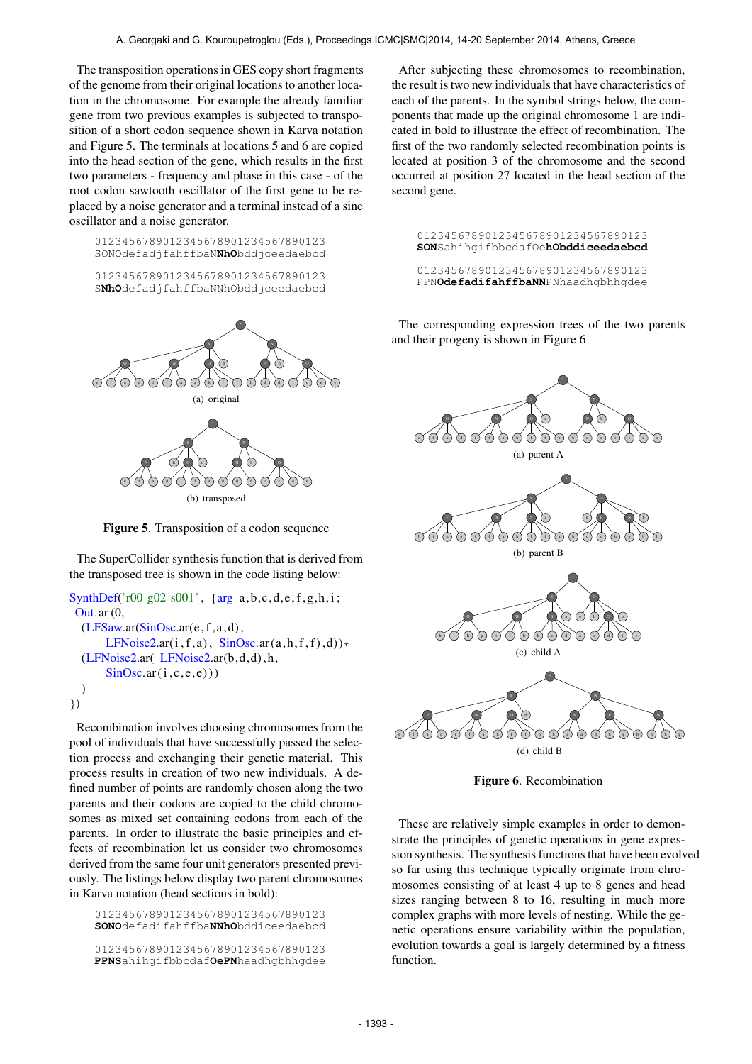The transposition operations in GES copy short fragments of the genome from their original locations to another location in the chromosome. For example the already familiar gene from two previous examples is subjected to transposition of a short codon sequence shown in Karva notation and Figure 5. The terminals at locations 5 and 6 are copied into the head section of the gene, which results in the first two parameters - frequency and phase in this case - of the root codon sawtooth oscillator of the first gene to be replaced by a noise generator and a terminal instead of a sine oscillator and a noise generator.

0123456789012345678901234567890123 SONOdefadjfahffbaN**NhO**bddjceedaebcd

0123456789012345678901234567890123 S**NhO**defadjfahffbaNNhObddjceedaebcd



Figure 5. Transposition of a codon sequence

The SuperCollider synthesis function that is derived from the transposed tree is shown in the code listing below:

```
SynthDef('r00_g02_s001', {arg a,b,c,d,e,f,g,h,i;
Out.ar (0,
  (LFSaw.ar(SinOsc.ar(e, f, a, d)),LFNoise2.ar(i, f, a), SinOsc.ar(a, h, f, f), d))*
  (LFNoise2.ar( LFNoise2.ar(b,d,d) , h,
       SinOsc<u>ar(i, c, e, e))</u>
  )
})
```
Recombination involves choosing chromosomes from the pool of individuals that have successfully passed the selection process and exchanging their genetic material. This process results in creation of two new individuals. A defined number of points are randomly chosen along the two parents and their codons are copied to the child chromosomes as mixed set containing codons from each of the parents. In order to illustrate the basic principles and effects of recombination let us consider two chromosomes derived from the same four unit generators presented previously. The listings below display two parent chromosomes in Karva notation (head sections in bold):

0123456789012345678901234567890123 **SONO**defadifahffba**NNhO**bddiceedaebcd 0123456789012345678901234567890123 **PPNS**ahihgifbbcdaf**OePN**haadhgbhhgdee

After subjecting these chromosomes to recombination, the result is two new individuals that have characteristics of each of the parents. In the symbol strings below, the components that made up the original chromosome 1 are indicated in bold to illustrate the effect of recombination. The first of the two randomly selected recombination points is located at position 3 of the chromosome and the second occurred at position 27 located in the head section of the second gene.

0123456789012345678901234567890123 **SON**SahihgifbbcdafOe**hObddiceedaebcd**

0123456789012345678901234567890123 PPN**OdefadifahffbaNN**PNhaadhgbhhgdee

The corresponding expression trees of the two parents and their progeny is shown in Figure 6



Figure 6. Recombination

These are relatively simple examples in order to demonstrate the principles of genetic operations in gene expression synthesis. The synthesis functions that have been evolved so far using this technique typically originate from chromosomes consisting of at least 4 up to 8 genes and head sizes ranging between 8 to 16, resulting in much more complex graphs with more levels of nesting. While the genetic operations ensure variability within the population, evolution towards a goal is largely determined by a fitness function.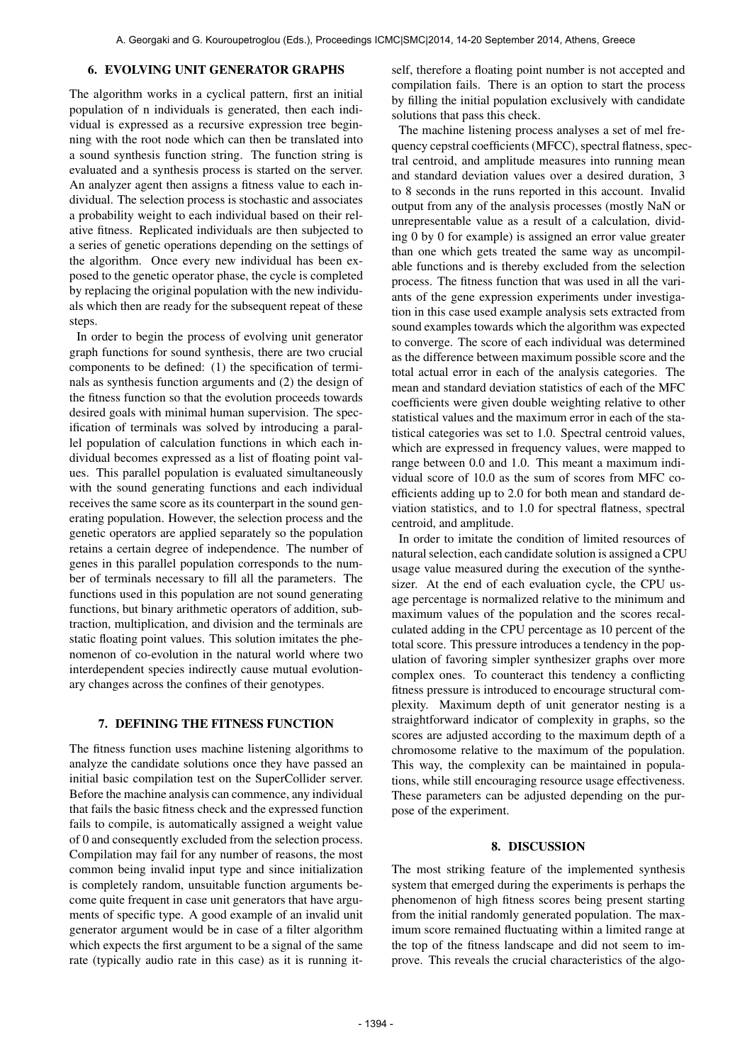#### 6. EVOLVING UNIT GENERATOR GRAPHS

The algorithm works in a cyclical pattern, first an initial population of n individuals is generated, then each individual is expressed as a recursive expression tree beginning with the root node which can then be translated into a sound synthesis function string. The function string is evaluated and a synthesis process is started on the server. An analyzer agent then assigns a fitness value to each individual. The selection process is stochastic and associates a probability weight to each individual based on their relative fitness. Replicated individuals are then subjected to a series of genetic operations depending on the settings of the algorithm. Once every new individual has been exposed to the genetic operator phase, the cycle is completed by replacing the original population with the new individuals which then are ready for the subsequent repeat of these steps.

In order to begin the process of evolving unit generator graph functions for sound synthesis, there are two crucial components to be defined: (1) the specification of terminals as synthesis function arguments and (2) the design of the fitness function so that the evolution proceeds towards desired goals with minimal human supervision. The specification of terminals was solved by introducing a parallel population of calculation functions in which each individual becomes expressed as a list of floating point values. This parallel population is evaluated simultaneously with the sound generating functions and each individual receives the same score as its counterpart in the sound generating population. However, the selection process and the genetic operators are applied separately so the population retains a certain degree of independence. The number of genes in this parallel population corresponds to the number of terminals necessary to fill all the parameters. The functions used in this population are not sound generating functions, but binary arithmetic operators of addition, subtraction, multiplication, and division and the terminals are static floating point values. This solution imitates the phenomenon of co-evolution in the natural world where two interdependent species indirectly cause mutual evolutionary changes across the confines of their genotypes.

## 7. DEFINING THE FITNESS FUNCTION

The fitness function uses machine listening algorithms to analyze the candidate solutions once they have passed an initial basic compilation test on the SuperCollider server. Before the machine analysis can commence, any individual that fails the basic fitness check and the expressed function fails to compile, is automatically assigned a weight value of 0 and consequently excluded from the selection process. Compilation may fail for any number of reasons, the most common being invalid input type and since initialization is completely random, unsuitable function arguments become quite frequent in case unit generators that have arguments of specific type. A good example of an invalid unit generator argument would be in case of a filter algorithm which expects the first argument to be a signal of the same rate (typically audio rate in this case) as it is running itself, therefore a floating point number is not accepted and compilation fails. There is an option to start the process by filling the initial population exclusively with candidate solutions that pass this check.

The machine listening process analyses a set of mel frequency cepstral coefficients (MFCC), spectral flatness, spectral centroid, and amplitude measures into running mean and standard deviation values over a desired duration, 3 to 8 seconds in the runs reported in this account. Invalid output from any of the analysis processes (mostly NaN or unrepresentable value as a result of a calculation, dividing 0 by 0 for example) is assigned an error value greater than one which gets treated the same way as uncompilable functions and is thereby excluded from the selection process. The fitness function that was used in all the variants of the gene expression experiments under investigation in this case used example analysis sets extracted from sound examples towards which the algorithm was expected to converge. The score of each individual was determined as the difference between maximum possible score and the total actual error in each of the analysis categories. The mean and standard deviation statistics of each of the MFC coefficients were given double weighting relative to other statistical values and the maximum error in each of the statistical categories was set to 1.0. Spectral centroid values, which are expressed in frequency values, were mapped to range between 0.0 and 1.0. This meant a maximum individual score of 10.0 as the sum of scores from MFC coefficients adding up to 2.0 for both mean and standard deviation statistics, and to 1.0 for spectral flatness, spectral centroid, and amplitude.

In order to imitate the condition of limited resources of natural selection, each candidate solution is assigned a CPU usage value measured during the execution of the synthesizer. At the end of each evaluation cycle, the CPU usage percentage is normalized relative to the minimum and maximum values of the population and the scores recalculated adding in the CPU percentage as 10 percent of the total score. This pressure introduces a tendency in the population of favoring simpler synthesizer graphs over more complex ones. To counteract this tendency a conflicting fitness pressure is introduced to encourage structural complexity. Maximum depth of unit generator nesting is a straightforward indicator of complexity in graphs, so the scores are adjusted according to the maximum depth of a chromosome relative to the maximum of the population. This way, the complexity can be maintained in populations, while still encouraging resource usage effectiveness. These parameters can be adjusted depending on the purpose of the experiment.

#### 8. DISCUSSION

The most striking feature of the implemented synthesis system that emerged during the experiments is perhaps the phenomenon of high fitness scores being present starting from the initial randomly generated population. The maximum score remained fluctuating within a limited range at the top of the fitness landscape and did not seem to improve. This reveals the crucial characteristics of the algo